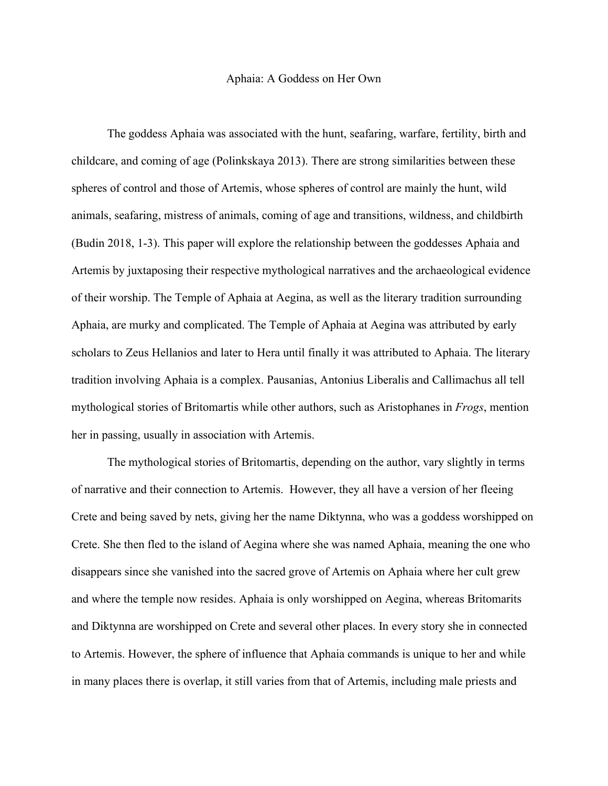## Aphaia: A Goddess on Her Own

The goddess Aphaia was associated with the hunt, seafaring, warfare, fertility, birth and childcare, and coming of age (Polinkskaya 2013). There are strong similarities between these spheres of control and those of Artemis, whose spheres of control are mainly the hunt, wild animals, seafaring, mistress of animals, coming of age and transitions, wildness, and childbirth (Budin 2018, 1-3). This paper will explore the relationship between the goddesses Aphaia and Artemis by juxtaposing their respective mythological narratives and the archaeological evidence of their worship. The Temple of Aphaia at Aegina, as well as the literary tradition surrounding Aphaia, are murky and complicated. The Temple of Aphaia at Aegina was attributed by early scholars to Zeus Hellanios and later to Hera until finally it was attributed to Aphaia. The literary tradition involving Aphaia is a complex. Pausanias, Antonius Liberalis and Callimachus all tell mythological stories of Britomartis while other authors, such as Aristophanes in *Frogs*, mention her in passing, usually in association with Artemis.

The mythological stories of Britomartis, depending on the author, vary slightly in terms of narrative and their connection to Artemis. However, they all have a version of her fleeing Crete and being saved by nets, giving her the name Diktynna, who was a goddess worshipped on Crete. She then fled to the island of Aegina where she was named Aphaia, meaning the one who disappears since she vanished into the sacred grove of Artemis on Aphaia where her cult grew and where the temple now resides. Aphaia is only worshipped on Aegina, whereas Britomarits and Diktynna are worshipped on Crete and several other places. In every story she in connected to Artemis. However, the sphere of influence that Aphaia commands is unique to her and while in many places there is overlap, it still varies from that of Artemis, including male priests and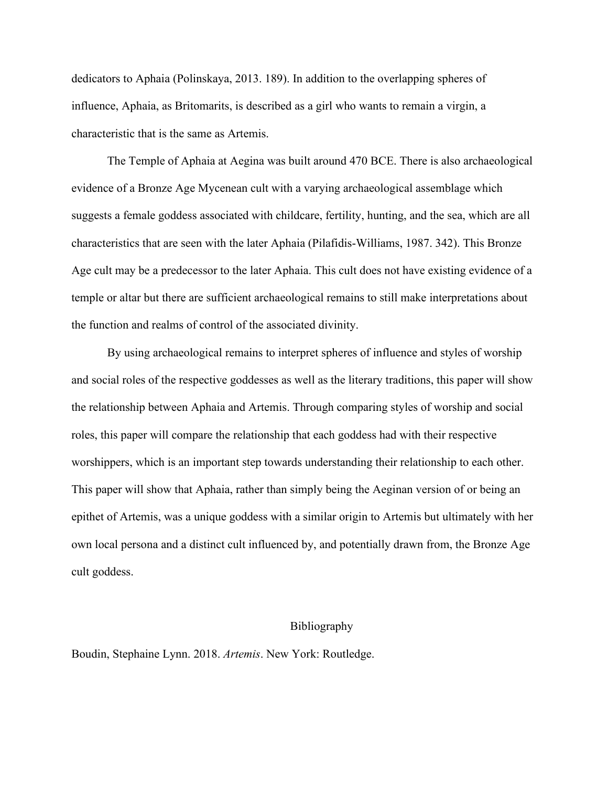dedicators to Aphaia (Polinskaya, 2013. 189). In addition to the overlapping spheres of influence, Aphaia, as Britomarits, is described as a girl who wants to remain a virgin, a characteristic that is the same as Artemis.

The Temple of Aphaia at Aegina was built around 470 BCE. There is also archaeological evidence of a Bronze Age Mycenean cult with a varying archaeological assemblage which suggests a female goddess associated with childcare, fertility, hunting, and the sea, which are all characteristics that are seen with the later Aphaia (Pilafidis-Williams, 1987. 342). This Bronze Age cult may be a predecessor to the later Aphaia. This cult does not have existing evidence of a temple or altar but there are sufficient archaeological remains to still make interpretations about the function and realms of control of the associated divinity.

By using archaeological remains to interpret spheres of influence and styles of worship and social roles of the respective goddesses as well as the literary traditions, this paper will show the relationship between Aphaia and Artemis. Through comparing styles of worship and social roles, this paper will compare the relationship that each goddess had with their respective worshippers, which is an important step towards understanding their relationship to each other. This paper will show that Aphaia, rather than simply being the Aeginan version of or being an epithet of Artemis, was a unique goddess with a similar origin to Artemis but ultimately with her own local persona and a distinct cult influenced by, and potentially drawn from, the Bronze Age cult goddess.

## Bibliography

Boudin, Stephaine Lynn. 2018. *Artemis*. New York: Routledge.